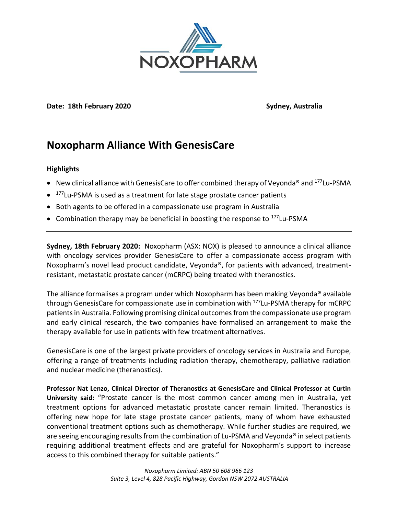

**Date: 18th February 2020 Sydney, Australia**

## **Noxopharm Alliance With GenesisCare**

### **Highlights**

- New clinical alliance with GenesisCare to offer combined therapy of Veyonda<sup>®</sup> and  $^{177}$ Lu-PSMA
- <sup>177</sup>Lu-PSMA is used as a treatment for late stage prostate cancer patients
- Both agents to be offered in a compassionate use program in Australia
- Combination therapy may be beneficial in boosting the response to  $177$ Lu-PSMA

**Sydney, 18th February 2020:** Noxopharm (ASX: NOX) is pleased to announce a clinical alliance with oncology services provider GenesisCare to offer a compassionate access program with Noxopharm's novel lead product candidate, Veyonda®, for patients with advanced, treatmentresistant, metastatic prostate cancer (mCRPC) being treated with theranostics.

The alliance formalises a program under which Noxopharm has been making Veyonda® available through GenesisCare for compassionate use in combination with <sup>177</sup>Lu-PSMA therapy for mCRPC patientsin Australia. Following promising clinical outcomesfrom the compassionate use program and early clinical research, the two companies have formalised an arrangement to make the therapy available for use in patients with few treatment alternatives.

GenesisCare is one of the largest private providers of oncology services in Australia and Europe, offering a range of treatments including radiation therapy, chemotherapy, palliative radiation and nuclear medicine (theranostics).

**Professor Nat Lenzo, Clinical Director of Theranostics at GenesisCare and Clinical Professor at Curtin University said:** "Prostate cancer is the most common cancer among men in Australia, yet treatment options for advanced metastatic prostate cancer remain limited. Theranostics is offering new hope for late stage prostate cancer patients, many of whom have exhausted conventional treatment options such as chemotherapy. While further studies are required, we are seeing encouraging results from the combination of Lu-PSMA and Veyonda<sup>®</sup> in select patients requiring additional treatment effects and are grateful for Noxopharm's support to increase access to this combined therapy for suitable patients."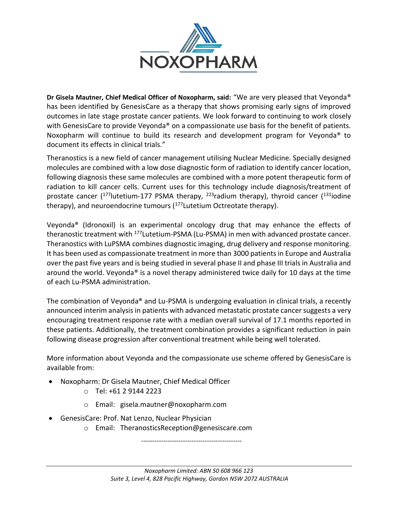

**Dr Gisela Mautner, Chief Medical Officer of Noxopharm, said:** "We are very pleased that Veyonda® has been identified by GenesisCare as a therapy that shows promising early signs of improved outcomes in late stage prostate cancer patients. We look forward to continuing to work closely with GenesisCare to provide Veyonda<sup>®</sup> on a compassionate use basis for the benefit of patients. Noxopharm will continue to build its research and development program for Veyonda<sup>®</sup> to document its effects in clinical trials."

Theranostics is a new field of cancer management utilising Nuclear Medicine. Specially designed molecules are combined with a low dose diagnostic form of radiation to identify cancer location, following diagnosis these same molecules are combined with a more potent therapeutic form of radiation to kill cancer cells. Current uses for this technology include diagnosis/treatment of prostate cancer  $(177)$ lutetium-177 PSMA therapy,  $223$ radium therapy), thyroid cancer  $(131)$ iodine therapy), and neuroendocrine tumours  $(177)$  Lutetium Octreotate therapy).

Veyonda® (Idronoxil) is an experimental oncology drug that may enhance the effects of theranostic treatment with <sup>177</sup>Lutetium-PSMA (Lu-PSMA) in men with advanced prostate cancer. Theranostics with LuPSMA combines diagnostic imaging, drug delivery and response monitoring. It has been used as compassionate treatment in more than 3000 patients in Europe and Australia over the past five years and is being studied in several phase II and phase III trials in Australia and around the world. Veyonda® is a novel therapy administered twice daily for 10 days at the time of each Lu-PSMA administration.

The combination of Veyonda® and Lu-PSMA is undergoing evaluation in clinical trials, a recently announced interim analysis in patients with advanced metastatic prostate cancer suggests a very encouraging treatment response rate with a median overall survival of 17.1 months reported in these patients. Additionally, the treatment combination provides a significant reduction in pain following disease progression after conventional treatment while being well tolerated.

More information about Veyonda and the compassionate use scheme offered by GenesisCare is available from:

- Noxopharm: Dr Gisela Mautner, Chief Medical Officer
	- o Tel: +61 2 9144 2223
	- o Email: gisela.mautner@noxopharm.com
- GenesisCare: Prof. Nat Lenzo, Nuclear Physician
	- o Email: TheranosticsReception@genesiscare.com

----------------------------------------------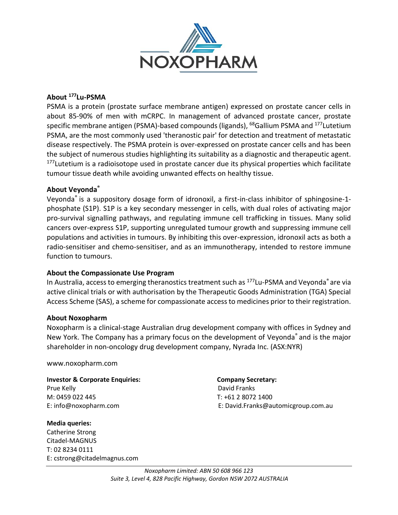

### **About <sup>177</sup>Lu-PSMA**

PSMA is a protein (prostate surface membrane antigen) expressed on prostate cancer cells in about 85-90% of men with mCRPC. In management of advanced prostate cancer, prostate specific membrane antigen (PSMA)-based compounds (ligands), <sup>68</sup>Gallium PSMA and <sup>177</sup>Lutetium PSMA, are the most commonly used 'theranostic pair' for detection and treatment of metastatic disease respectively. The PSMA protein is over-expressed on prostate cancer cells and has been the subject of numerous studies highlighting its suitability as a diagnostic and therapeutic agent. <sup>177</sup>Lutetium is a radioisotope used in prostate cancer due its physical properties which facilitate tumour tissue death while avoiding unwanted effects on healthy tissue.

### **About Veyonda®**

Veyonda® is a suppository dosage form of idronoxil, a first-in-class inhibitor of sphingosine-1 phosphate (S1P). S1P is a key secondary messenger in cells, with dual roles of activating major pro-survival signalling pathways, and regulating immune cell trafficking in tissues. Many solid cancers over-express S1P, supporting unregulated tumour growth and suppressing immune cell populations and activities in tumours. By inhibiting this over-expression, idronoxil acts as both a radio-sensitiser and chemo-sensitiser, and as an immunotherapy, intended to restore immune function to tumours.

### **About the Compassionate Use Program**

In Australia, access to emerging theranostics treatment such as <sup>177</sup>Lu-PSMA and Veyonda<sup>®</sup> are via active clinical trials or with authorisation by the Therapeutic Goods Administration (TGA) Special Access Scheme (SAS), a scheme for compassionate access to medicines prior to their registration.

#### **About Noxopharm**

Noxopharm is a clinical-stage Australian drug development company with offices in Sydney and New York. The Company has a primary focus on the development of Veyonda® and is the major shareholder in non-oncology drug development company, Nyrada Inc. (ASX:NYR)

www.noxopharm.com

**Investor & Corporate Enquiries: Company Secretary:**  Prue Kelly **David Franks** M: 0459 022 445 T: +61 2 8072 1400

**Media queries:** Catherine Strong Citadel-MAGNUS T: 02 8234 0111 E: cstrong@citadelmagnus.com

# E: info@noxopharm.com E: David.Franks@automicgroup.com.au